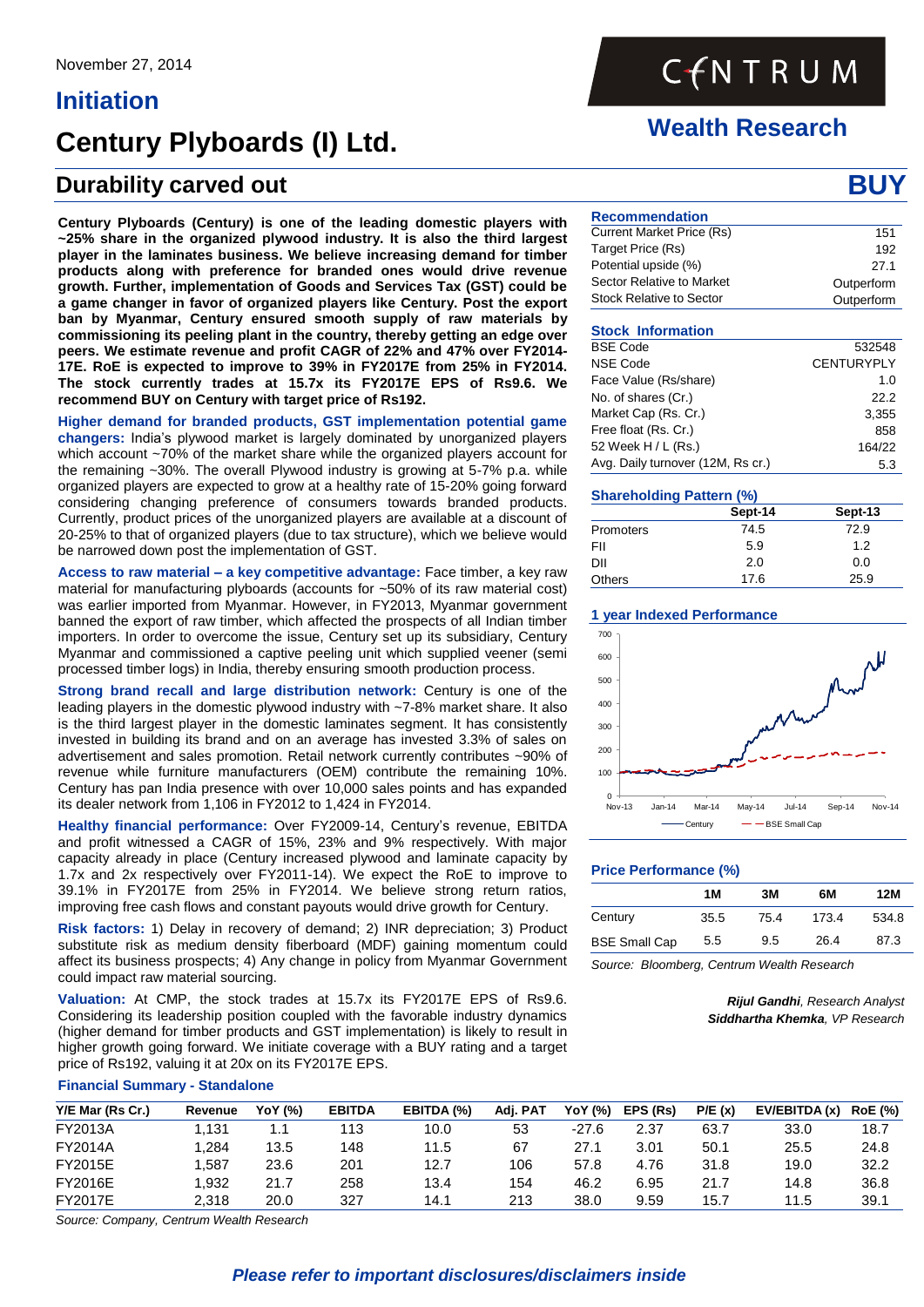# **Initiation**

# **Century Plyboards (I) Ltd.**

# **Durability carved out BU BUY BUY BUY BUY BUY BUY BUY BUY BUY BUY BUY BUY BUY BUY BUY**

**Century Plyboards (Century) is one of the leading domestic players with ~25% share in the organized plywood industry. It is also the third largest player in the laminates business. We believe increasing demand for timber products along with preference for branded ones would drive revenue growth. Further, implementation of Goods and Services Tax (GST) could be a game changer in favor of organized players like Century. Post the export ban by Myanmar, Century ensured smooth supply of raw materials by commissioning its peeling plant in the country, thereby getting an edge over peers. We estimate revenue and profit CAGR of 22% and 47% over FY2014- 17E. RoE is expected to improve to 39% in FY2017E from 25% in FY2014. The stock currently trades at 15.7x its FY2017E EPS of Rs9.6. We recommend BUY on Century with target price of Rs192.**

**Higher demand for branded products, GST implementation potential game changers:** India's plywood market is largely dominated by unorganized players which account ~70% of the market share while the organized players account for the remaining ~30%. The overall Plywood industry is growing at 5-7% p.a. while organized players are expected to grow at a healthy rate of 15-20% going forward considering changing preference of consumers towards branded products. Currently, product prices of the unorganized players are available at a discount of 20-25% to that of organized players (due to tax structure), which we believe would be narrowed down post the implementation of GST.

**Access to raw material – a key competitive advantage:** Face timber, a key raw material for manufacturing plyboards (accounts for ~50% of its raw material cost) was earlier imported from Myanmar. However, in FY2013, Myanmar government banned the export of raw timber, which affected the prospects of all Indian timber importers. In order to overcome the issue, Century set up its subsidiary, Century Myanmar and commissioned a captive peeling unit which supplied veener (semi processed timber logs) in India, thereby ensuring smooth production process.

**Strong brand recall and large distribution network:** Century is one of the leading players in the domestic plywood industry with ~7-8% market share. It also is the third largest player in the domestic laminates segment. It has consistently invested in building its brand and on an average has invested 3.3% of sales on advertisement and sales promotion. Retail network currently contributes ~90% of revenue while furniture manufacturers (OEM) contribute the remaining 10%. Century has pan India presence with over 10,000 sales points and has expanded its dealer network from 1,106 in FY2012 to 1,424 in FY2014.

**Healthy financial performance:** Over FY2009-14, Century's revenue, EBITDA and profit witnessed a CAGR of 15%, 23% and 9% respectively. With major capacity already in place (Century increased plywood and laminate capacity by 1.7x and 2x respectively over FY2011-14). We expect the RoE to improve to 39.1% in FY2017E from 25% in FY2014. We believe strong return ratios, improving free cash flows and constant payouts would drive growth for Century.

**Risk factors:** 1) Delay in recovery of demand; 2) INR depreciation; 3) Product substitute risk as medium density fiberboard (MDF) gaining momentum could affect its business prospects; 4) Any change in policy from Myanmar Government could impact raw material sourcing.

**Valuation:** At CMP, the stock trades at 15.7x its FY2017E EPS of Rs9.6. Considering its leadership position coupled with the favorable industry dynamics (higher demand for timber products and GST implementation) is likely to result in higher growth going forward. We initiate coverage with a BUY rating and a target price of Rs192, valuing it at 20x on its FY2017E EPS.

### **Financial Summary - Standalone**

| Y/E Mar (Rs Cr.) | Revenue | YoY (%) | <b>EBITDA</b> | EBITDA (%) | Adi. PAT | YoY (%) | EPS (Rs) | P/E(x) | EV/EBITDA (x) | <b>RoE</b> (%) |
|------------------|---------|---------|---------------|------------|----------|---------|----------|--------|---------------|----------------|
| FY2013A          | .131    |         | 113           | 10.0       | 53       | $-27.6$ | 2.37     | 63.7   | 33.0          | 18.7           |
| FY2014A          | .284    | 13.5    | 148           | 11.5       | 67       | 27.1    | 3.01     | 50.1   | 25.5          | 24.8           |
| FY2015E          | .587    | 23.6    | 201           | 12.7       | 106      | 57.8    | 4.76     | 31.8   | 19.0          | 32.2           |
| FY2016E          | 932. ا  | 21.7    | 258           | 13.4       | 154      | 46.2    | 6.95     | 21.7   | 14.8          | 36.8           |
| FY2017E          | 2.318   | 20.0    | 327           | 14.1       | 213      | 38.0    | 9.59     | 15.7   | 11.5          | 39.1           |

*Source: Company, Centrum Wealth Research* 

# CENTRUM

# **Wealth Research**

| <b>Recommendation</b>           |            |
|---------------------------------|------------|
| Current Market Price (Rs)       | 151        |
| Target Price (Rs)               | 192        |
| Potential upside (%)            | 27.1       |
| Sector Relative to Market       | Outperform |
| <b>Stock Relative to Sector</b> | Outperform |

# **Stock Information**

| <b>BSE Code</b>                   | 532548            |
|-----------------------------------|-------------------|
| <b>NSE Code</b>                   | <b>CENTURYPLY</b> |
| Face Value (Rs/share)             | 1.0               |
| No. of shares (Cr.)               | 22.2              |
| Market Cap (Rs. Cr.)              | 3.355             |
| Free float (Rs. Cr.)              | 858               |
| 52 Week H / L (Rs.)               | 164/22            |
| Avg. Daily turnover (12M, Rs cr.) | 5.3               |

# **Shareholding Pattern (%)**

|               | Sept-14 | Sept-13 |
|---------------|---------|---------|
| Promoters     | 74.5    | 72.9    |
| FII           | 5.9     | 1.2     |
| DII           | 2.0     | 0.0     |
| <b>Others</b> | 17.6    | 25.9    |

# **1 year Indexed Performance**



# **Price Performance (%)**

|                      | 1M   | 3M   | 6M    | 12M   |
|----------------------|------|------|-------|-------|
| Century              | 35.5 | 75.4 | 173.4 | 534.8 |
| <b>BSE Small Cap</b> | 5.5  | 9.5  | 26.4  | 87.3  |
|                      |      |      |       |       |

*Source: Bloomberg, Centrum Wealth Research*

*Rijul Gandhi, Research Analyst Siddhartha Khemka, VP Research*

# *Please refer to important disclosures/disclaimers inside*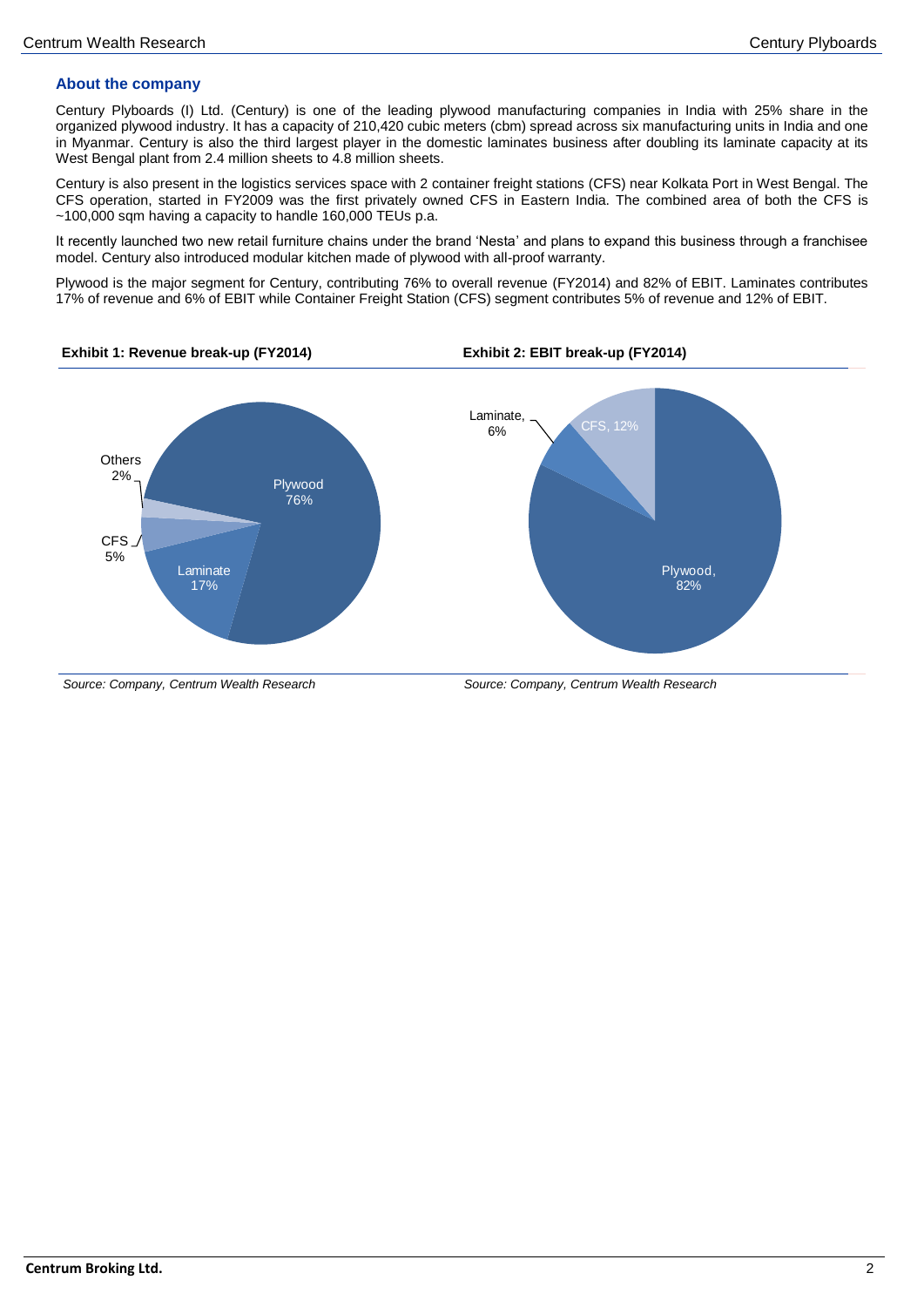# **About the company**

Century Plyboards (I) Ltd. (Century) is one of the leading plywood manufacturing companies in India with 25% share in the organized plywood industry. It has a capacity of 210,420 cubic meters (cbm) spread across six manufacturing units in India and one in Myanmar. Century is also the third largest player in the domestic laminates business after doubling its laminate capacity at its West Bengal plant from 2.4 million sheets to 4.8 million sheets.

Century is also present in the logistics services space with 2 container freight stations (CFS) near Kolkata Port in West Bengal. The CFS operation, started in FY2009 was the first privately owned CFS in Eastern India. The combined area of both the CFS is ~100,000 sqm having a capacity to handle 160,000 TEUs p.a.

It recently launched two new retail furniture chains under the brand 'Nesta' and plans to expand this business through a franchisee model. Century also introduced modular kitchen made of plywood with all-proof warranty.

Plywood is the major segment for Century, contributing 76% to overall revenue (FY2014) and 82% of EBIT. Laminates contributes 17% of revenue and 6% of EBIT while Container Freight Station (CFS) segment contributes 5% of revenue and 12% of EBIT.



**Exhibit 1: Revenue break-up (FY2014) Exhibit 2: EBIT break-up (FY2014)**

*Source: Company, Centrum Wealth Research Source: Company, Centrum Wealth Research*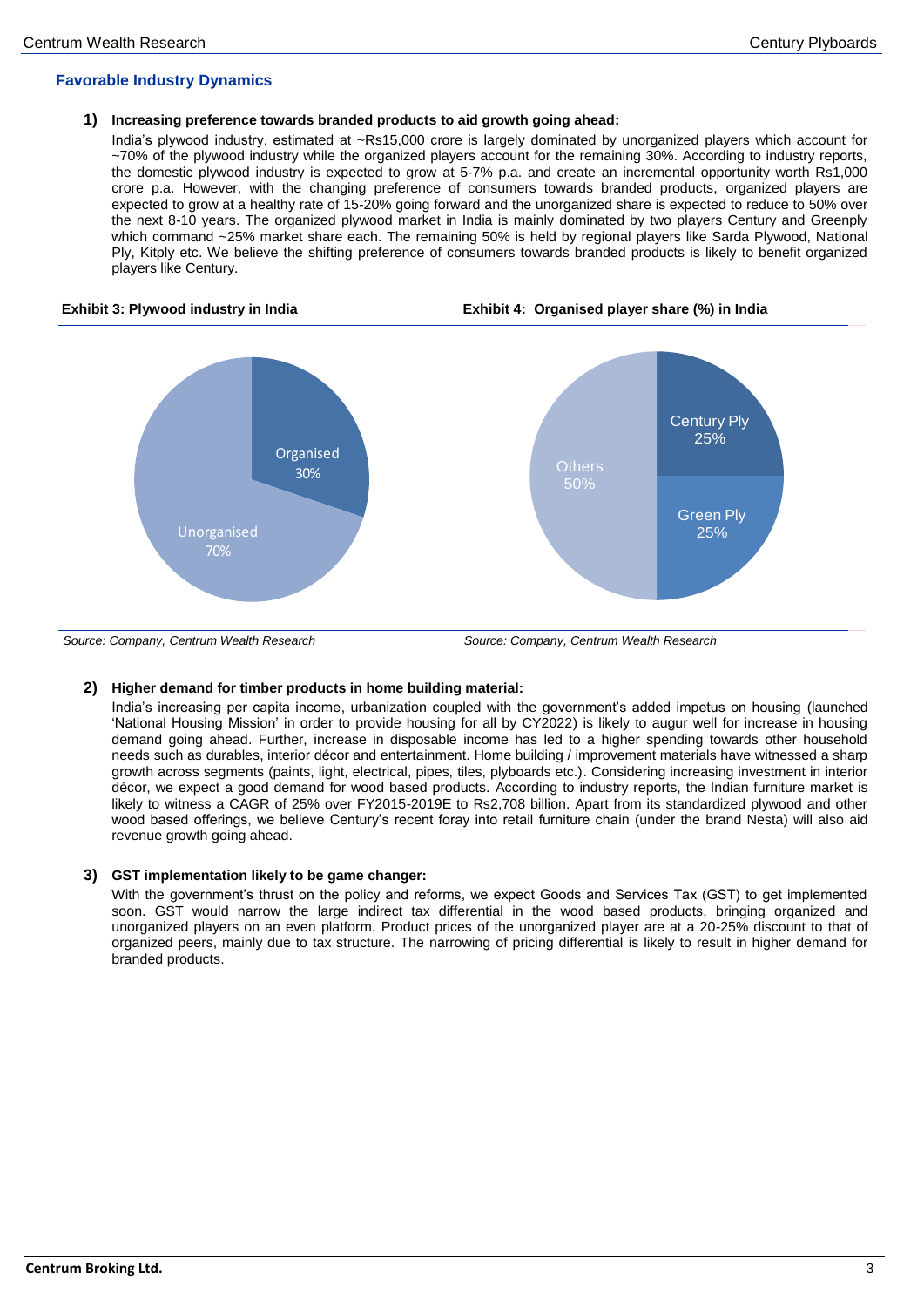# **Favorable Industry Dynamics**

## **1) Increasing preference towards branded products to aid growth going ahead:**

India's plywood industry, estimated at ~Rs15,000 crore is largely dominated by unorganized players which account for ~70% of the plywood industry while the organized players account for the remaining 30%. According to industry reports, the domestic plywood industry is expected to grow at 5-7% p.a. and create an incremental opportunity worth Rs1,000 crore p.a. However, with the changing preference of consumers towards branded products, organized players are expected to grow at a healthy rate of 15-20% going forward and the unorganized share is expected to reduce to 50% over the next 8-10 years. The organized plywood market in India is mainly dominated by two players Century and Greenply which command ~25% market share each. The remaining 50% is held by regional players like Sarda Plywood, National Ply, Kitply etc. We believe the shifting preference of consumers towards branded products is likely to benefit organized players like Century.

#### **Exhibit 3: Plywood industry in India Exhibit 4: Organised player share (%) in India**





*Source: Company, Centrum Wealth Research Source: Company, Centrum Wealth Research*

# **2) Higher demand for timber products in home building material:**

India's increasing per capita income, urbanization coupled with the government's added impetus on housing (launched 'National Housing Mission' in order to provide housing for all by CY2022) is likely to augur well for increase in housing demand going ahead. Further, increase in disposable income has led to a higher spending towards other household needs such as durables, interior décor and entertainment. Home building / improvement materials have witnessed a sharp growth across segments (paints, light, electrical, pipes, tiles, plyboards etc.). Considering increasing investment in interior décor, we expect a good demand for wood based products. According to industry reports, the Indian furniture market is likely to witness a CAGR of 25% over FY2015-2019E to Rs2,708 billion. Apart from its standardized plywood and other wood based offerings, we believe Century's recent foray into retail furniture chain (under the brand Nesta) will also aid revenue growth going ahead.

### **3) GST implementation likely to be game changer:**

With the government's thrust on the policy and reforms, we expect Goods and Services Tax (GST) to get implemented soon. GST would narrow the large indirect tax differential in the wood based products, bringing organized and unorganized players on an even platform. Product prices of the unorganized player are at a 20-25% discount to that of organized peers, mainly due to tax structure. The narrowing of pricing differential is likely to result in higher demand for branded products.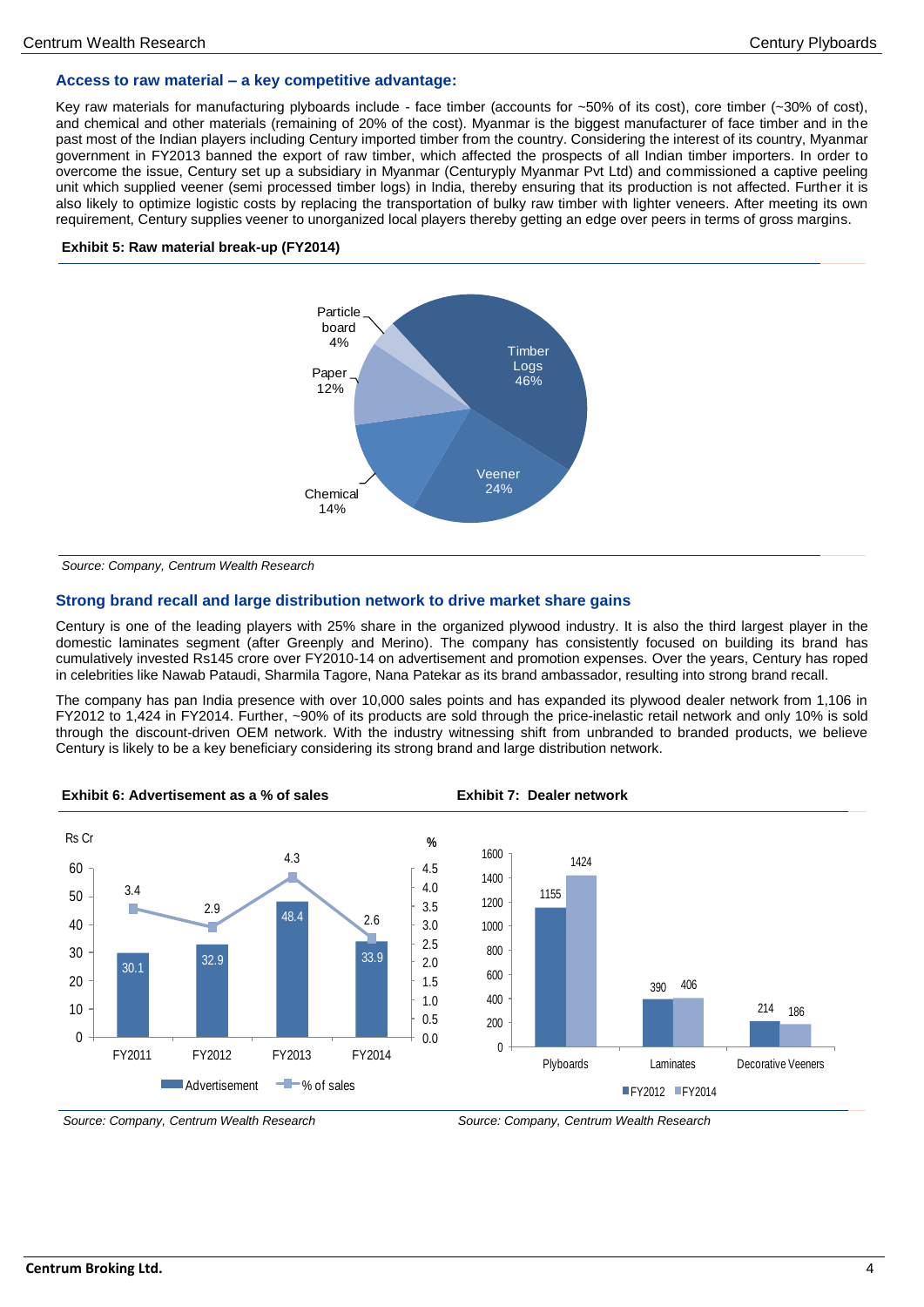# **Access to raw material – a key competitive advantage:**

Key raw materials for manufacturing plyboards include - face timber (accounts for ~50% of its cost), core timber (~30% of cost), and chemical and other materials (remaining of 20% of the cost). Myanmar is the biggest manufacturer of face timber and in the past most of the Indian players including Century imported timber from the country. Considering the interest of its country, Myanmar government in FY2013 banned the export of raw timber, which affected the prospects of all Indian timber importers. In order to overcome the issue, Century set up a subsidiary in Myanmar (Centuryply Myanmar Pvt Ltd) and commissioned a captive peeling unit which supplied veener (semi processed timber logs) in India, thereby ensuring that its production is not affected. Further it is also likely to optimize logistic costs by replacing the transportation of bulky raw timber with lighter veneers. After meeting its own requirement, Century supplies veener to unorganized local players thereby getting an edge over peers in terms of gross margins.

### **Exhibit 5: Raw material break-up (FY2014)**



*Source: Company, Centrum Wealth Research*

### **Strong brand recall and large distribution network to drive market share gains**

Century is one of the leading players with 25% share in the organized plywood industry. It is also the third largest player in the domestic laminates segment (after Greenply and Merino). The company has consistently focused on building its brand has cumulatively invested Rs145 crore over FY2010-14 on advertisement and promotion expenses. Over the years, Century has roped in celebrities like Nawab Pataudi, Sharmila Tagore, Nana Patekar as its brand ambassador, resulting into strong brand recall.

The company has pan India presence with over 10,000 sales points and has expanded its plywood dealer network from 1,106 in FY2012 to 1,424 in FY2014. Further, ~90% of its products are sold through the price-inelastic retail network and only 10% is sold through the discount-driven OEM network. With the industry witnessing shift from unbranded to branded products, we believe Century is likely to be a key beneficiary considering its strong brand and large distribution network.



*Source: Company, Centrum Wealth Research Source: Company, Centrum Wealth Research*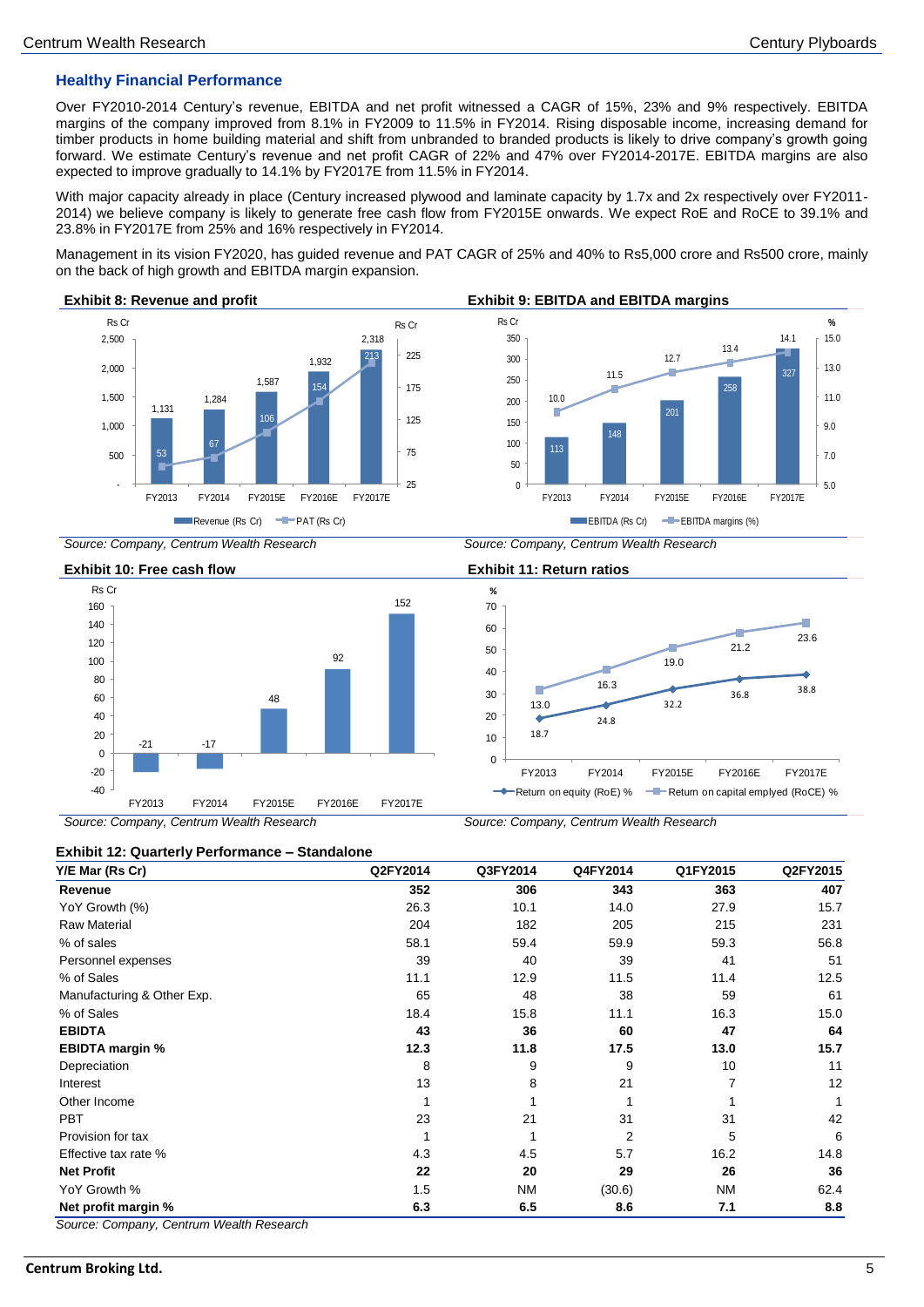# **Healthy Financial Performance**

Over FY2010-2014 Century's revenue, EBITDA and net profit witnessed a CAGR of 15%, 23% and 9% respectively. EBITDA margins of the company improved from 8.1% in FY2009 to 11.5% in FY2014. Rising disposable income, increasing demand for timber products in home building material and shift from unbranded to branded products is likely to drive company's growth going forward. We estimate Century's revenue and net profit CAGR of 22% and 47% over FY2014-2017E. EBITDA margins are also expected to improve gradually to 14.1% by FY2017E from 11.5% in FY2014.

With major capacity already in place (Century increased plywood and laminate capacity by 1.7x and 2x respectively over FY2011-2014) we believe company is likely to generate free cash flow from FY2015E onwards. We expect RoE and RoCE to 39.1% and 23.8% in FY2017E from 25% and 16% respectively in FY2014.

Management in its vision FY2020, has guided revenue and PAT CAGR of 25% and 40% to Rs5,000 crore and Rs500 crore, mainly on the back of high growth and EBITDA margin expansion.



18.7

**%**

13.0

24.8

16.3



32.2

FY2013 FY2014 FY2015E FY2016E FY2017E

Return on equity (RoE) % - Return on capital emplyed (RoCE) %

19.0

36.8 38.8

23.6

21.2

*Source: Company, Centrum Wealth Research Source: Company, Centrum Wealth Research*



*Source: Company, Centrum Wealth Research Source: Company, Centrum Wealth Research*

#### **Exhibit 12: Quarterly Performance – Standalone**

| Y/E Mar (Rs Cr)            | Q2FY2014 | Q3FY2014  | Q4FY2014       | Q1FY2015  | Q2FY2015 |
|----------------------------|----------|-----------|----------------|-----------|----------|
| Revenue                    | 352      | 306       | 343            | 363       | 407      |
| YoY Growth (%)             | 26.3     | 10.1      | 14.0           | 27.9      | 15.7     |
| <b>Raw Material</b>        | 204      | 182       | 205            | 215       | 231      |
| % of sales                 | 58.1     | 59.4      | 59.9           | 59.3      | 56.8     |
| Personnel expenses         | 39       | 40        | 39             | 41        | 51       |
| % of Sales                 | 11.1     | 12.9      | 11.5           | 11.4      | 12.5     |
| Manufacturing & Other Exp. | 65       | 48        | 38             | 59        | 61       |
| % of Sales                 | 18.4     | 15.8      | 11.1           | 16.3      | 15.0     |
| <b>EBIDTA</b>              | 43       | 36        | 60             | 47        | 64       |
| <b>EBIDTA margin %</b>     | 12.3     | 11.8      | 17.5           | 13.0      | 15.7     |
| Depreciation               | 8        | 9         | 9              | 10        | 11       |
| Interest                   | 13       | 8         | 21             |           | 12       |
| Other Income               |          |           |                |           | 1        |
| <b>PBT</b>                 | 23       | 21        | 31             | 31        | 42       |
| Provision for tax          |          | 1         | $\overline{2}$ | 5         | 6        |
| Effective tax rate %       | 4.3      | 4.5       | 5.7            | 16.2      | 14.8     |
| <b>Net Profit</b>          | 22       | 20        | 29             | 26        | 36       |
| YoY Growth %               | 1.5      | <b>NM</b> | (30.6)         | <b>NM</b> | 62.4     |
| Net profit margin %        | 6.3      | 6.5       | 8.6            | 7.1       | 8.8      |

# **Centrum Broking Ltd.** 5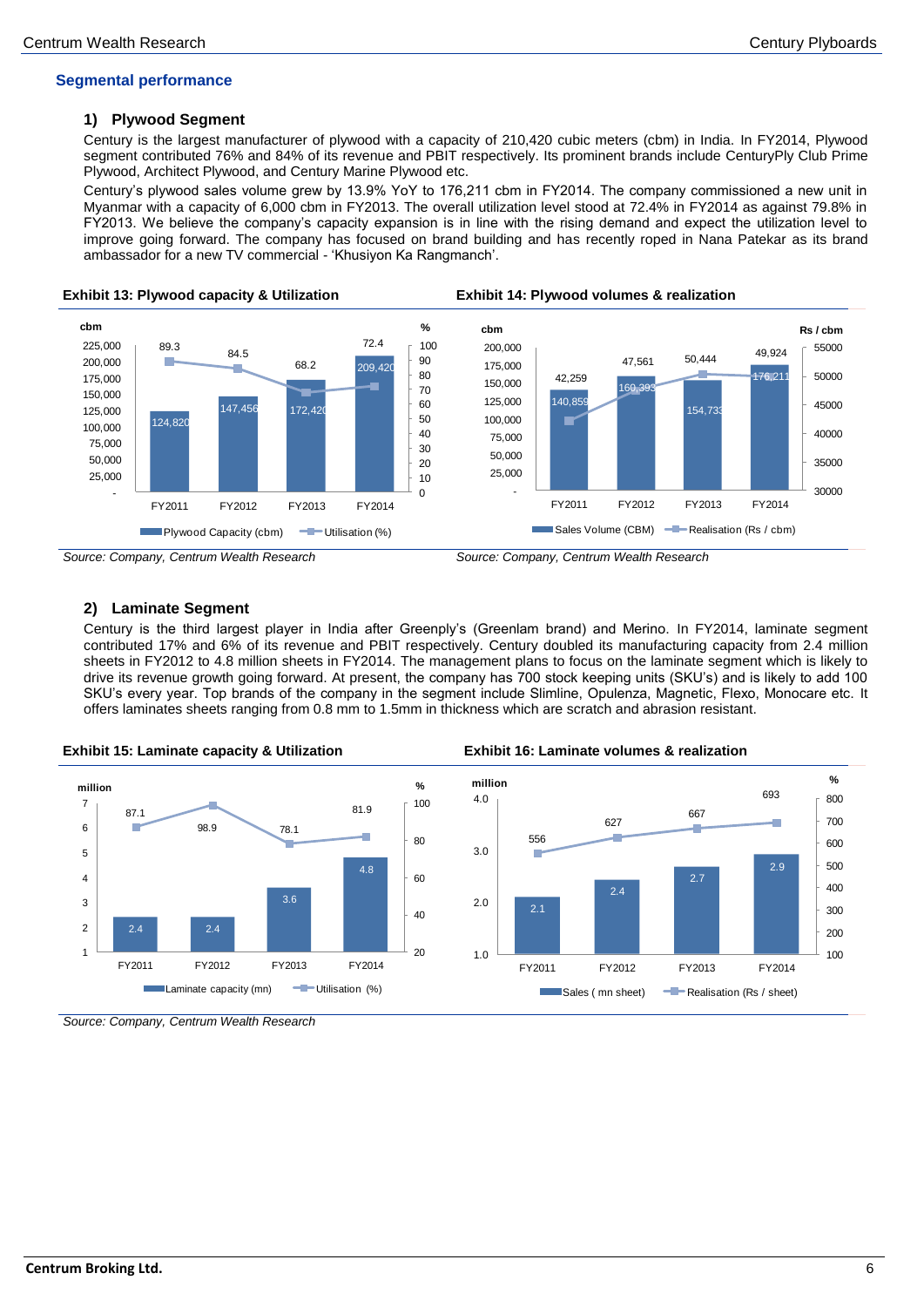# **Segmental performance**

# **1) Plywood Segment**

Century is the largest manufacturer of plywood with a capacity of 210,420 cubic meters (cbm) in India. In FY2014, Plywood segment contributed 76% and 84% of its revenue and PBIT respectively. Its prominent brands include CenturyPly Club Prime Plywood, Architect Plywood, and Century Marine Plywood etc.

Century's plywood sales volume grew by 13.9% YoY to 176,211 cbm in FY2014. The company commissioned a new unit in Myanmar with a capacity of 6,000 cbm in FY2013. The overall utilization level stood at 72.4% in FY2014 as against 79.8% in FY2013. We believe the company's capacity expansion is in line with the rising demand and expect the utilization level to improve going forward. The company has focused on brand building and has recently roped in Nana Patekar as its brand ambassador for a new TV commercial - 'Khusiyon Ka Rangmanch'.



*Source: Company, Centrum Wealth Research Source: Company, Centrum Wealth Research*



# **2) Laminate Segment**

Century is the third largest player in India after Greenply's (Greenlam brand) and Merino. In FY2014, laminate segment contributed 17% and 6% of its revenue and PBIT respectively. Century doubled its manufacturing capacity from 2.4 million sheets in FY2012 to 4.8 million sheets in FY2014. The management plans to focus on the laminate segment which is likely to drive its revenue growth going forward. At present, the company has 700 stock keeping units (SKU's) and is likely to add 100 SKU's every year. Top brands of the company in the segment include Slimline, Opulenza, Magnetic, Flexo, Monocare etc. It offers laminates sheets ranging from 0.8 mm to 1.5mm in thickness which are scratch and abrasion resistant.



*Source: Company, Centrum Wealth Research*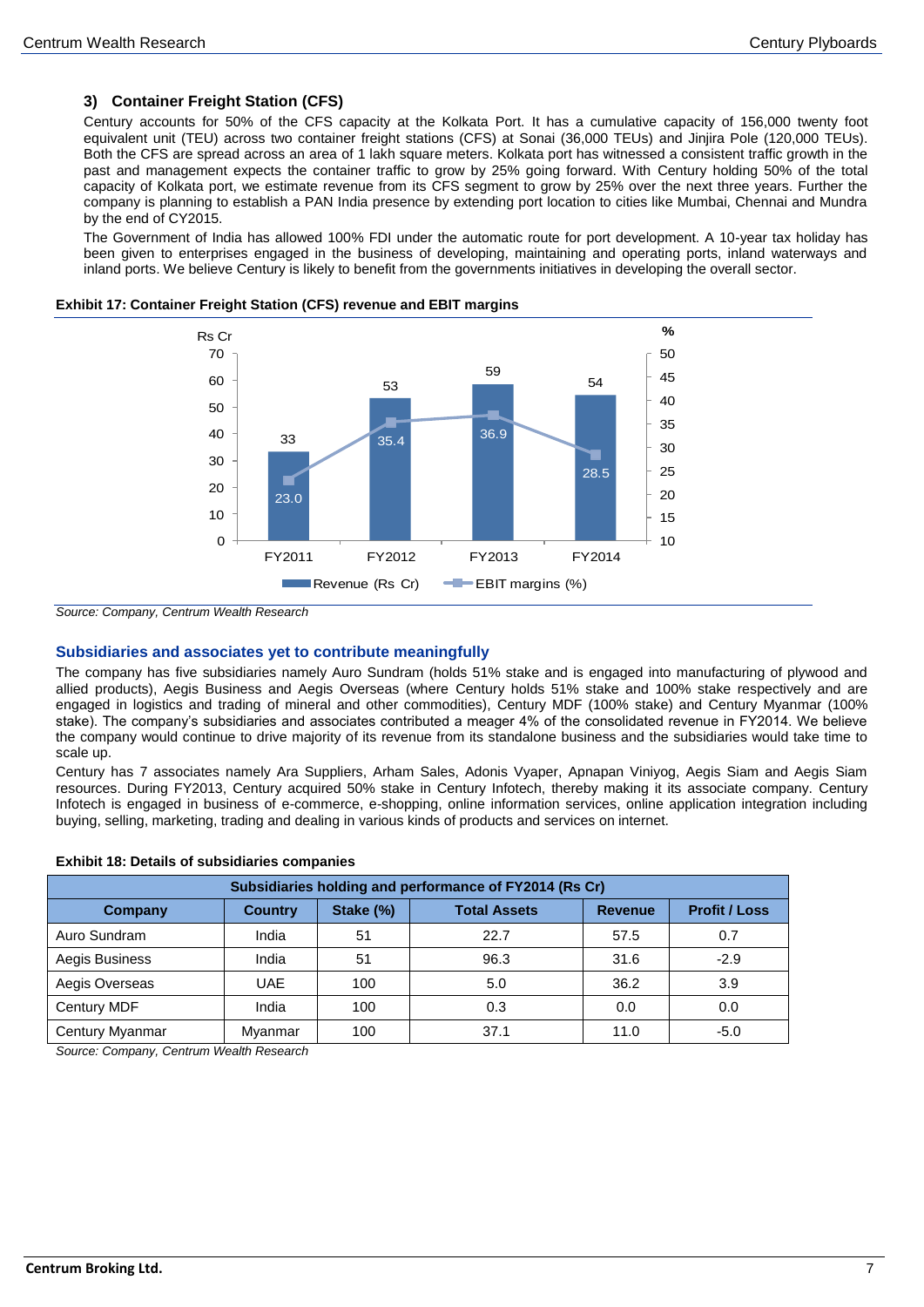# **3) Container Freight Station (CFS)**

Century accounts for 50% of the CFS capacity at the Kolkata Port. It has a cumulative capacity of 156,000 twenty foot equivalent unit (TEU) across two container freight stations (CFS) at Sonai (36,000 TEUs) and Jinjira Pole (120,000 TEUs). Both the CFS are spread across an area of 1 lakh square meters. Kolkata port has witnessed a consistent traffic growth in the past and management expects the container traffic to grow by 25% going forward. With Century holding 50% of the total capacity of Kolkata port, we estimate revenue from its CFS segment to grow by 25% over the next three years. Further the company is planning to establish a PAN India presence by extending port location to cities like Mumbai, Chennai and Mundra by the end of CY2015.

The Government of India has allowed 100% FDI under the automatic route for port development. A 10-year tax holiday has been given to enterprises engaged in the business of developing, maintaining and operating ports, inland waterways and inland ports. We believe Century is likely to benefit from the governments initiatives in developing the overall sector.





*Source: Company, Centrum Wealth Research*

# **Subsidiaries and associates yet to contribute meaningfully**

The company has five subsidiaries namely Auro Sundram (holds 51% stake and is engaged into manufacturing of plywood and allied products), Aegis Business and Aegis Overseas (where Century holds 51% stake and 100% stake respectively and are engaged in logistics and trading of mineral and other commodities), Century MDF (100% stake) and Century Myanmar (100% stake). The company's subsidiaries and associates contributed a meager 4% of the consolidated revenue in FY2014. We believe the company would continue to drive majority of its revenue from its standalone business and the subsidiaries would take time to scale up.

Century has 7 associates namely Ara Suppliers, Arham Sales, Adonis Vyaper, Apnapan Viniyog, Aegis Siam and Aegis Siam resources. During FY2013, Century acquired 50% stake in Century Infotech, thereby making it its associate company. Century Infotech is engaged in business of e-commerce, e-shopping, online information services, online application integration including buying, selling, marketing, trading and dealing in various kinds of products and services on internet.

|  |  |  | <b>Exhibit 18: Details of subsidiaries companies</b> |  |
|--|--|--|------------------------------------------------------|--|
|--|--|--|------------------------------------------------------|--|

| Subsidiaries holding and performance of FY2014 (Rs Cr) |                                                                                              |     |      |      |        |  |  |  |  |
|--------------------------------------------------------|----------------------------------------------------------------------------------------------|-----|------|------|--------|--|--|--|--|
| <b>Company</b>                                         | <b>Profit / Loss</b><br>Stake (%)<br><b>Total Assets</b><br><b>Country</b><br><b>Revenue</b> |     |      |      |        |  |  |  |  |
| Auro Sundram                                           | India                                                                                        | 51  | 22.7 | 57.5 | 0.7    |  |  |  |  |
| Aegis Business                                         | India                                                                                        | 51  | 96.3 | 31.6 | $-2.9$ |  |  |  |  |
| Aegis Overseas                                         | UAE.                                                                                         | 100 | 5.0  | 36.2 | 3.9    |  |  |  |  |
| Century MDF                                            | India                                                                                        | 100 | 0.3  | 0.0  | 0.0    |  |  |  |  |
| Century Myanmar                                        | Myanmar                                                                                      | 100 | 37.1 | 11.0 | $-5.0$ |  |  |  |  |

*Source: Company, Centrum Wealth Research*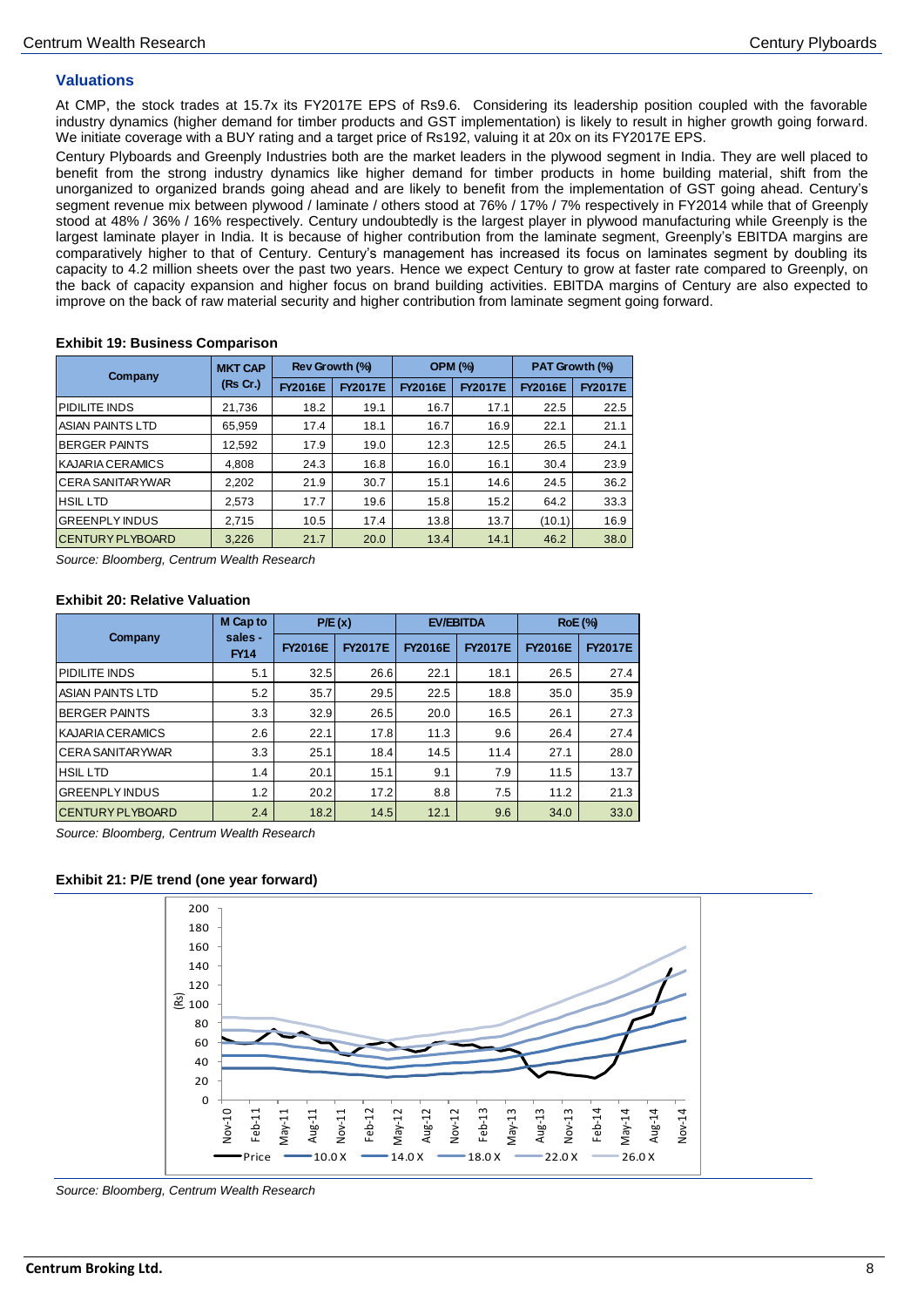# **Valuations**

At CMP, the stock trades at 15.7x its FY2017E EPS of Rs9.6. Considering its leadership position coupled with the favorable industry dynamics (higher demand for timber products and GST implementation) is likely to result in higher growth going forward. We initiate coverage with a BUY rating and a target price of Rs192, valuing it at 20x on its FY2017E EPS.

Century Plyboards and Greenply Industries both are the market leaders in the plywood segment in India. They are well placed to benefit from the strong industry dynamics like higher demand for timber products in home building material, shift from the unorganized to organized brands going ahead and are likely to benefit from the implementation of GST going ahead. Century's segment revenue mix between plywood / laminate / others stood at 76% / 17% / 7% respectively in FY2014 while that of Greenply stood at 48% / 36% / 16% respectively. Century undoubtedly is the largest player in plywood manufacturing while Greenply is the largest laminate player in India. It is because of higher contribution from the laminate segment, Greenply's EBITDA margins are comparatively higher to that of Century. Century's management has increased its focus on laminates segment by doubling its capacity to 4.2 million sheets over the past two years. Hence we expect Century to grow at faster rate compared to Greenply, on the back of capacity expansion and higher focus on brand building activities. EBITDA margins of Century are also expected to improve on the back of raw material security and higher contribution from laminate segment going forward.

# **Exhibit 19: Business Comparison**

| Company                  | <b>MKT CAP</b> | Rev Growth (%) |                | <b>OPM (%)</b> |                | PAT Growth (%) |                |
|--------------------------|----------------|----------------|----------------|----------------|----------------|----------------|----------------|
|                          | (Rs Cr.)       | <b>FY2016E</b> | <b>FY2017E</b> | <b>FY2016E</b> | <b>FY2017E</b> | <b>FY2016E</b> | <b>FY2017E</b> |
| <b>PIDILITE INDS</b>     | 21,736         | 18.2           | 19.1           | 16.7           | 17.1           | 22.5           | 22.5           |
| ASIAN PAINTS LTD         | 65.959         | 17.4           | 18.1           | 16.7           | 16.9           | 22.1           | 21.1           |
| <b>IBERGER PAINTS</b>    | 12.592         | 17.9           | 19.0           | 12.3           | 12.5           | 26.5           | 24.1           |
| <b>KAJARIA CERAMICS</b>  | 4,808          | 24.3           | 16.8           | 16.0           | 16.1           | 30.4           | 23.9           |
| <b>ICERA SANITARYWAR</b> | 2.202          | 21.9           | 30.7           | 15.1           | 14.6           | 24.5           | 36.2           |
| <b>HSIL LTD</b>          | 2.573          | 17.7           | 19.6           | 15.8           | 15.2           | 64.2           | 33.3           |
| <b>GREENPLY INDUS</b>    | 2,715          | 10.5           | 17.4           | 13.8           | 13.7           | (10.1)         | 16.9           |
| <b>CENTURY PLYBOARD</b>  | 3.226          | 21.7           | 20.0           | 13.4           | 14.1           | 46.2           | 38.0           |

*Source: Bloomberg, Centrum Wealth Research* 

# **Exhibit 20: Relative Valuation**

|                         | <b>M</b> Cap to        | P/E(x)         |                | <b>EV/EBITDA</b> |                | <b>RoE</b> (%) |                |
|-------------------------|------------------------|----------------|----------------|------------------|----------------|----------------|----------------|
| Company                 | sales -<br><b>FY14</b> | <b>FY2016E</b> | <b>FY2017E</b> | <b>FY2016E</b>   | <b>FY2017E</b> | <b>FY2016E</b> | <b>FY2017E</b> |
| <b>PIDILITE INDS</b>    | 5.1                    | 32.5           | 26.6           | 22.1             | 18.1           | 26.5           | 27.4           |
| ASIAN PAINTS LTD        | 5.2                    | 35.7           | 29.5           | 22.5             | 18.8           | 35.0           | 35.9           |
| <b>BERGER PAINTS</b>    | 3.3                    | 32.9           | 26.5           | 20.0             | 16.5           | 26.1           | 27.3           |
| <b>KAJARIA CERAMICS</b> | 2.6                    | 22.1           | 17.8           | 11.3             | 9.6            | 26.4           | 27.4           |
| <b>CERA SANITARYWAR</b> | 3.3                    | 25.1           | 18.4           | 14.5             | 11.4           | 27.1           | 28.0           |
| <b>HSILLTD</b>          | 1.4                    | 20.1           | 15.1           | 9.1              | 7.9            | 11.5           | 13.7           |
| <b>GREENPLY INDUS</b>   | 1.2                    | 20.2           | 17.2           | 8.8              | 7.5            | 11.2           | 21.3           |
| <b>CENTURY PLYBOARD</b> | 2.4                    | 18.2           | 14.5           | 12.1             | 9.6            | 34.0           | 33.0           |

*Source: Bloomberg, Centrum Wealth Research* 

# **Exhibit 21: P/E trend (one year forward)**



*Source: Bloomberg, Centrum Wealth Research*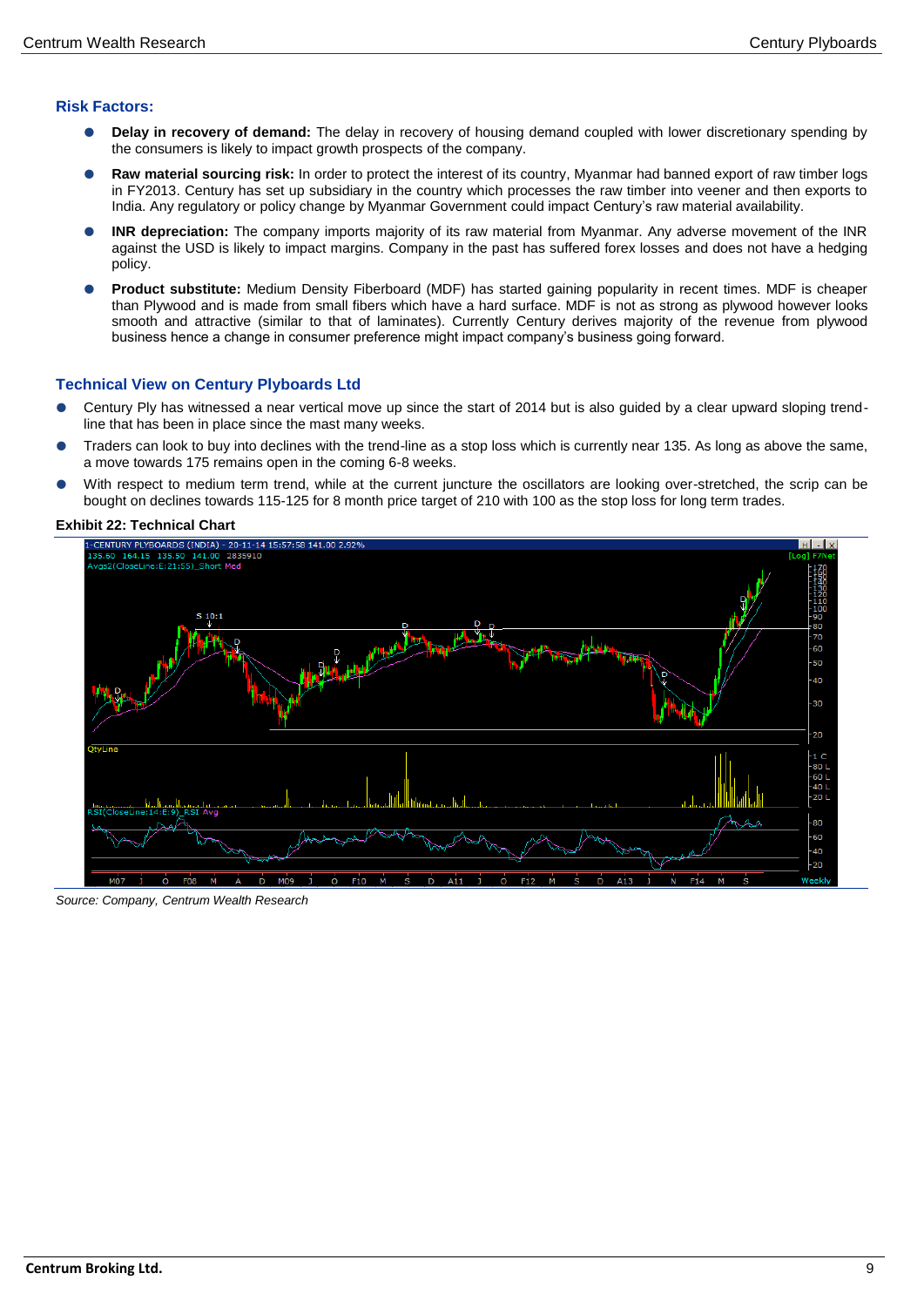# **Risk Factors:**

- **Delay in recovery of demand:** The delay in recovery of housing demand coupled with lower discretionary spending by the consumers is likely to impact growth prospects of the company.
- **Raw material sourcing risk:** In order to protect the interest of its country, Myanmar had banned export of raw timber logs in FY2013. Century has set up subsidiary in the country which processes the raw timber into veener and then exports to India. Any regulatory or policy change by Myanmar Government could impact Century's raw material availability.
- **INR depreciation:** The company imports majority of its raw material from Myanmar. Any adverse movement of the INR against the USD is likely to impact margins. Company in the past has suffered forex losses and does not have a hedging policy.
- **Product substitute:** Medium Density Fiberboard (MDF) has started gaining popularity in recent times. MDF is cheaper than Plywood and is made from small fibers which have a hard surface. MDF is not as strong as plywood however looks smooth and attractive (similar to that of laminates). Currently Century derives majority of the revenue from plywood business hence a change in consumer preference might impact company's business going forward.

# **Technical View on Century Plyboards Ltd**

- Century Ply has witnessed a near vertical move up since the start of 2014 but is also guided by a clear upward sloping trendline that has been in place since the mast many weeks.
- Traders can look to buy into declines with the trend-line as a stop loss which is currently near 135. As long as above the same, a move towards 175 remains open in the coming 6-8 weeks.
- With respect to medium term trend, while at the current juncture the oscillators are looking over-stretched, the scrip can be bought on declines towards 115-125 for 8 month price target of 210 with 100 as the stop loss for long term trades.





*Source: Company, Centrum Wealth Research*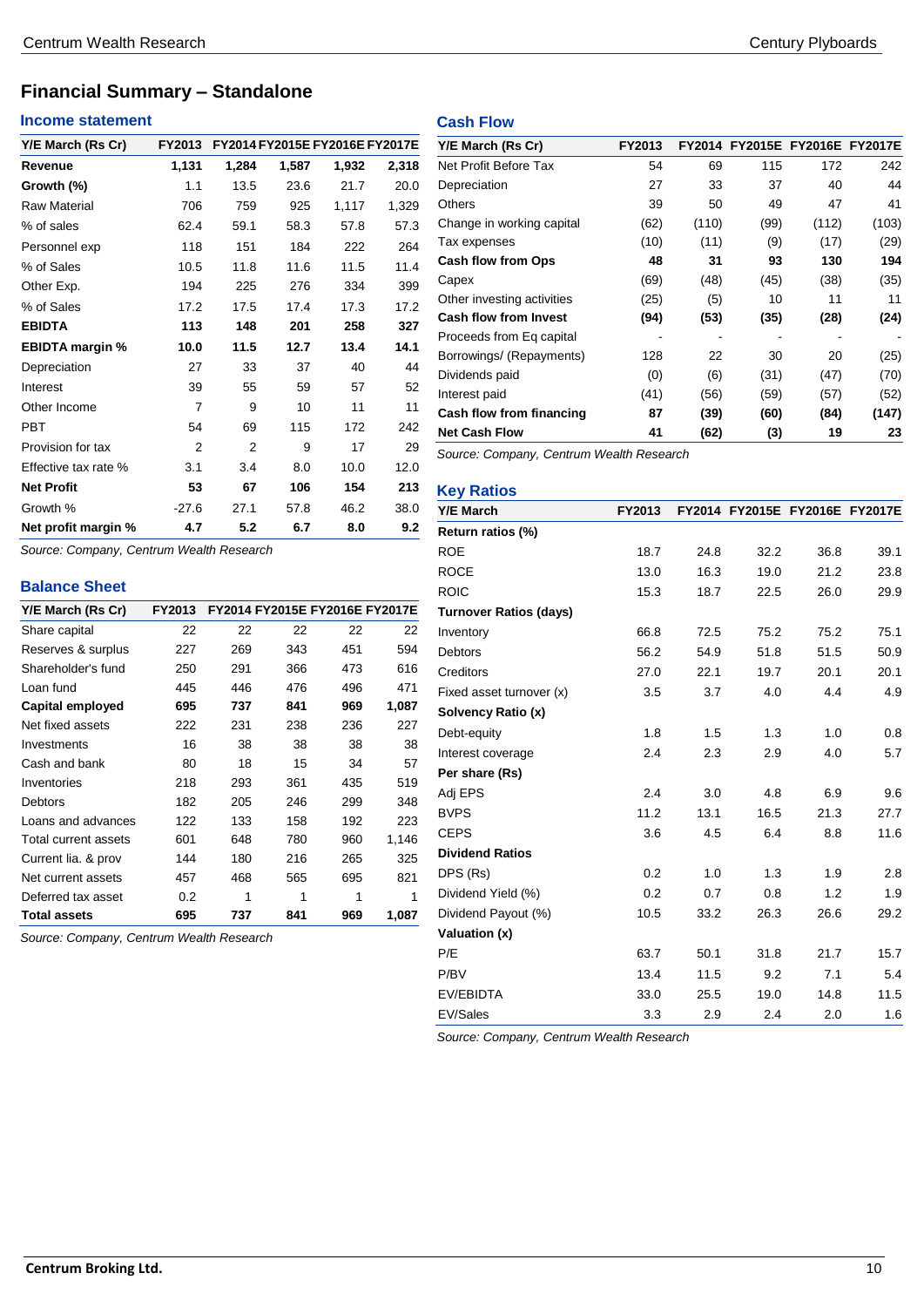# **Financial Summary – Standalone**

# **Income statement**

| Y/E March (Rs Cr)      | FY2013  |       |       | FY2014 FY2015E FY2016E FY2017E |       |
|------------------------|---------|-------|-------|--------------------------------|-------|
| Revenue                | 1,131   | 1,284 | 1,587 | 1,932                          | 2,318 |
| Growth (%)             | 1.1     | 13.5  | 23.6  | 21.7                           | 20.0  |
| <b>Raw Material</b>    | 706     | 759   | 925   | 1,117                          | 1,329 |
| % of sales             | 62.4    | 59.1  | 58.3  | 57.8                           | 57.3  |
| Personnel exp          | 118     | 151   | 184   | 222                            | 264   |
| % of Sales             | 10.5    | 11.8  | 11.6  | 11.5                           | 11.4  |
| Other Exp.             | 194     | 225   | 276   | 334                            | 399   |
| % of Sales             | 17.2    | 17.5  | 17.4  | 17.3                           | 17.2  |
| <b>EBIDTA</b>          | 113     | 148   | 201   | 258                            | 327   |
| <b>EBIDTA margin %</b> | 10.0    | 11.5  | 12.7  | 13.4                           | 14.1  |
| Depreciation           | 27      | 33    | 37    | 40                             | 44    |
| Interest               | 39      | 55    | 59    | 57                             | 52    |
| Other Income           | 7       | 9     | 10    | 11                             | 11    |
| PBT                    | 54      | 69    | 115   | 172                            | 242   |
| Provision for tax      | 2       | 2     | 9     | 17                             | 29    |
| Effective tax rate %   | 3.1     | 3.4   | 8.0   | 10.0                           | 12.0  |
| <b>Net Profit</b>      | 53      | 67    | 106   | 154                            | 213   |
| Growth %               | $-27.6$ | 27.1  | 57.8  | 46.2                           | 38.0  |
| Net profit margin %    | 4.7     | 5.2   | 6.7   | 8.0                            | 9.2   |

*Source: Company, Centrum Wealth Research*

# **Balance Sheet**

| Y/E March (Rs Cr)       | FY2013 |     |     | FY2014 FY2015E FY2016E FY2017E |       |
|-------------------------|--------|-----|-----|--------------------------------|-------|
| Share capital           | 22     | 22  | 22  | 22                             | 22    |
| Reserves & surplus      | 227    | 269 | 343 | 451                            | 594   |
| Shareholder's fund      | 250    | 291 | 366 | 473                            | 616   |
| Loan fund               | 445    | 446 | 476 | 496                            | 471   |
| <b>Capital employed</b> | 695    | 737 | 841 | 969                            | 1,087 |
| Net fixed assets        | 222    | 231 | 238 | 236                            | 227   |
| Investments             | 16     | 38  | 38  | 38                             | 38    |
| Cash and bank           | 80     | 18  | 15  | 34                             | 57    |
| Inventories             | 218    | 293 | 361 | 435                            | 519   |
| <b>Debtors</b>          | 182    | 205 | 246 | 299                            | 348   |
| Loans and advances      | 122    | 133 | 158 | 192                            | 223   |
| Total current assets    | 601    | 648 | 780 | 960                            | 1,146 |
| Current lia. & prov     | 144    | 180 | 216 | 265                            | 325   |
| Net current assets      | 457    | 468 | 565 | 695                            | 821   |
| Deferred tax asset      | 0.2    | 1   | 1   | 1                              | 1     |
| <b>Total assets</b>     | 695    | 737 | 841 | 969                            | 1,087 |

*Source: Company, Centrum Wealth Research*

# **Cash Flow**

| Y/E March (Rs Cr)            | FY2013 | <b>FY2014</b> |      | FY2015E FY2016E FY2017E |       |
|------------------------------|--------|---------------|------|-------------------------|-------|
| Net Profit Before Tax        | 54     | 69            | 115  | 172                     | 242   |
| Depreciation                 | 27     | 33            | 37   | 40                      | 44    |
| Others                       | 39     | 50            | 49   | 47                      | 41    |
| Change in working capital    | (62)   | (110)         | (99) | (112)                   | (103) |
| Tax expenses                 | (10)   | (11)          | (9)  | (17)                    | (29)  |
| <b>Cash flow from Ops</b>    | 48     | 31            | 93   | 130                     | 194   |
| Capex                        | (69)   | (48)          | (45) | (38)                    | (35)  |
| Other investing activities   | (25)   | (5)           | 10   | 11                      | 11    |
| <b>Cash flow from Invest</b> | (94)   | (53)          | (35) | (28)                    | (24)  |
| Proceeds from Eq capital     |        |               |      |                         |       |
| Borrowings/ (Repayments)     | 128    | 22            | 30   | 20                      | (25)  |
| Dividends paid               | (0)    | (6)           | (31) | (47)                    | (70)  |
| Interest paid                | (41)   | (56)          | (59) | (57)                    | (52)  |
| Cash flow from financing     | 87     | (39)          | (60) | (84)                    | (147) |
| <b>Net Cash Flow</b>         | 41     | (62)          | (3)  | 19                      | 23    |

*Source: Company, Centrum Wealth Research*

| <b>Key Ratios</b>             |        |      |      |                                |      |
|-------------------------------|--------|------|------|--------------------------------|------|
| <b>Y/E March</b>              | FY2013 |      |      | FY2014 FY2015E FY2016E FY2017E |      |
| Return ratios (%)             |        |      |      |                                |      |
| <b>ROE</b>                    | 18.7   | 24.8 | 32.2 | 36.8                           | 39.1 |
| <b>ROCE</b>                   | 13.0   | 16.3 | 19.0 | 21.2                           | 23.8 |
| <b>ROIC</b>                   | 15.3   | 18.7 | 22.5 | 26.0                           | 29.9 |
| <b>Turnover Ratios (days)</b> |        |      |      |                                |      |
| Inventory                     | 66.8   | 72.5 | 75.2 | 75.2                           | 75.1 |
| <b>Debtors</b>                | 56.2   | 54.9 | 51.8 | 51.5                           | 50.9 |
| Creditors                     | 27.0   | 22.1 | 19.7 | 20.1                           | 20.1 |
| Fixed asset turnover (x)      | 3.5    | 3.7  | 4.0  | 4.4                            | 4.9  |
| Solvency Ratio (x)            |        |      |      |                                |      |
| Debt-equity                   | 1.8    | 1.5  | 1.3  | 1.0                            | 0.8  |
| Interest coverage             | 2.4    | 2.3  | 2.9  | 4.0                            | 5.7  |
| Per share (Rs)                |        |      |      |                                |      |
| Adj EPS                       | 2.4    | 3.0  | 4.8  | 6.9                            | 9.6  |
| <b>BVPS</b>                   | 11.2   | 13.1 | 16.5 | 21.3                           | 27.7 |
| <b>CEPS</b>                   | 3.6    | 4.5  | 6.4  | 8.8                            | 11.6 |
| <b>Dividend Ratios</b>        |        |      |      |                                |      |
| DPS (Rs)                      | 0.2    | 1.0  | 1.3  | 1.9                            | 2.8  |
| Dividend Yield (%)            | 0.2    | 0.7  | 0.8  | 1.2                            | 1.9  |
| Dividend Payout (%)           | 10.5   | 33.2 | 26.3 | 26.6                           | 29.2 |
| Valuation (x)                 |        |      |      |                                |      |
| P/E                           | 63.7   | 50.1 | 31.8 | 21.7                           | 15.7 |
| P/BV                          | 13.4   | 11.5 | 9.2  | 7.1                            | 5.4  |
| <b>EV/EBIDTA</b>              | 33.0   | 25.5 | 19.0 | 14.8                           | 11.5 |
| EV/Sales                      | 3.3    | 2.9  | 2.4  | 2.0                            | 1.6  |

*Source: Company, Centrum Wealth Research*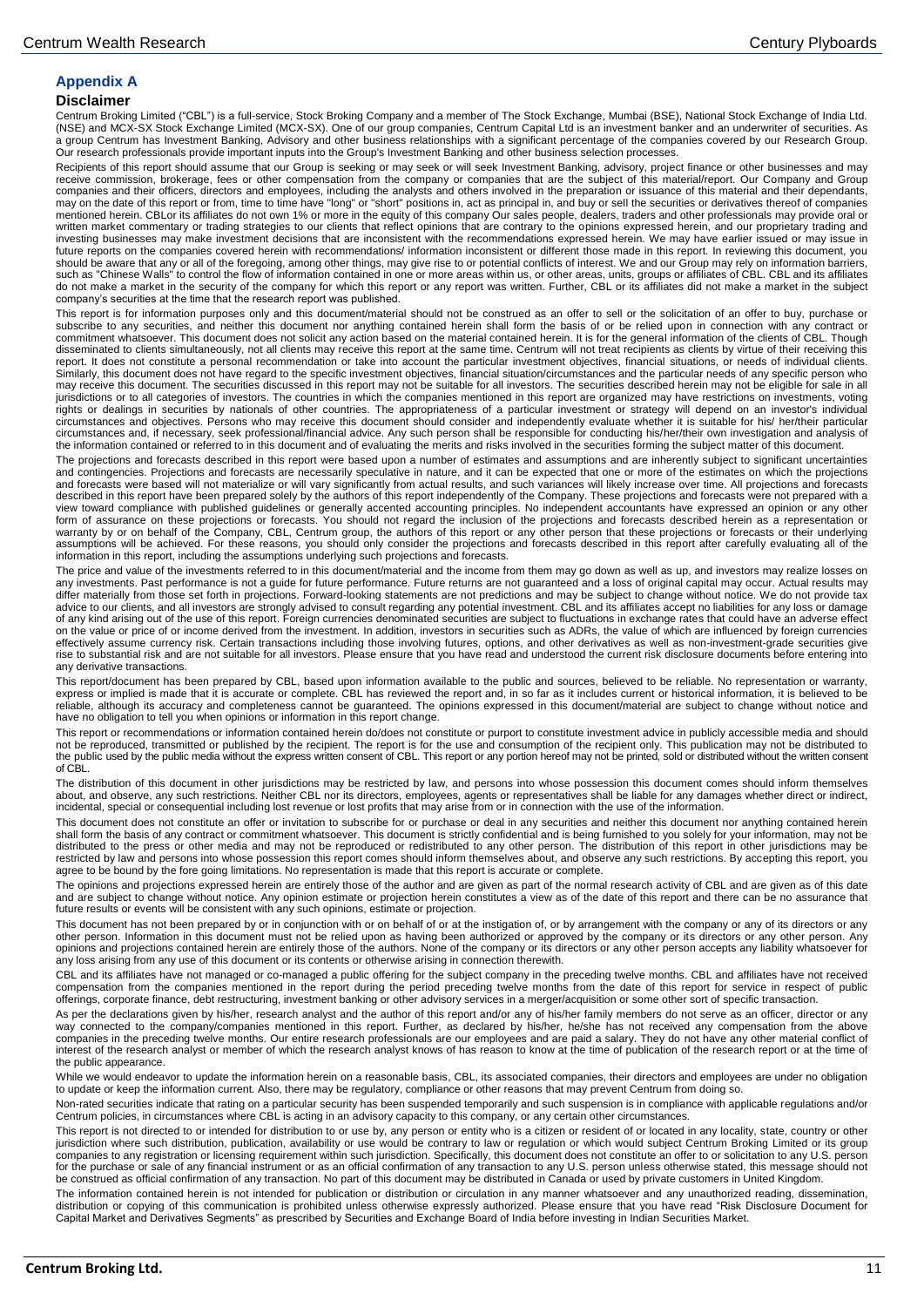# **Appendix A**

#### **Disclaimer**

Centrum Broking Limited ("CBL") is a full-service, Stock Broking Company and a member of The Stock Exchange, Mumbai (BSE), National Stock Exchange of India Ltd.<br>(NSE) and MCX-SX Stock Exchange Limited (MCX-SX). One of our a group Centrum has Investment Banking, Advisory and other business relationships with a significant percentage of the companies covered by our Research Group.<br>Our research professionals provide important inputs into the G

Recipients of this report should assume that our Group is seeking or may seek or will seek Investment Banking, advisory, project finance or other businesses and may<br>receive commission, brokerage, fees or other compensation companies and their officers, directors and employees, including the analysts and others involved in the preparation or issuance of this material and their dependants, may on the date of this report or from, time to time have "long" or "short" positions in, act as principal in, and buy or sell the securities or derivatives thereof of companies<br>mentioned herein. CBLor its affiliates do no investing businesses may make investment decisions that are inconsistent with the recommendations expressed herein. We may have earlier issued or may issue in future reports on the companies covered herein with recommendations/ information inconsistent or different those made in this report. In reviewing this document, you<br>should be aware that any or all of the foregoing, among do not make a market in the security of the company for which this report or any report was written. Further, CBL or its affiliates did not make a market in the subject company's securities at the time that the research report was published.

This report is for information purposes only and this document/material should not be construed as an offer to sell or the solicitation of an offer to buy, purchase or subscribe to any securities, and neither this document nor anything contained herein shall form the basis of or be relied upon in connection with any contract or commitment whatsoever. This document does not solicit any action based on the material contained herein. It is for the general information of the clients of CBL. Though disseminated to clients simultaneously, not all clients may receive this report at the same time. Centrum will not treat recipients as clients by virtue of their receiving this<br>report. It does not constitute a personal rec Similarly, this document does not have regard to the specific investment objectives, financial situation/circumstances and the particular needs of any specific person who may receive this document. The securities discussed in this report may not be suitable for all investors. The securities described herein may not be eligible for sale in all jurisdictions or to all categories of investors. The countries in which the companies mentioned in this report are organized may have restrictions on investments, voting<br>rights or dealings in securities by nationals of oth circumstances and, if necessary, seek professional/financial advice. Any such person shall be responsible for conducting his/her/their own investigation and analysis of<br>the information contained or referred to in this docu

The projections and forecasts described in this report were based upon a number of estimates and assumptions and are inherently subject to significant uncertainties and contingencies. Projections and forecasts are necessarily speculative in nature, and it can be expected that one or more of the estimates on which the projections<br>and forecasts were based will not materialize or will va described in this report have been prepared solely by the authors of this report independently of the Company. These projections and forecasts were not prepared with a view toward compliance with published guidelines or generally accented accounting principles. No independent accountants have expressed an opinion or any other<br>form of assurance on these projections or forecasts. You shoul warranty by or on behalf of the Company, CBL, Centrum group, the authors of this report or any other person that these projections or forecasts or their underlying assumptions will be achieved. For these reasons, you should only consider the projections and forecasts described in this report after carefully evaluating all of the information in this report, including the assumptions underlying such projections and forecasts.

The price and value of the investments referred to in this document/material and the income from them may go down as well as up, and investors may realize losses on any investments. Past performance is not a guide for future performance. Future returns are not guaranteed and a loss of original capital may occur. Actual results may differ materially from those set forth in projections. Forward-looking statements are not predictions and may be subject to change without notice. We do not provide tax<br>advice to our clients, and all investors are strongly on the value or price of or income derived from the investment. In addition, investors in securities such as ADRs, the value of which are influenced by foreign currencies effectively assume currency risk. Certain transactions including those involving futures, options, and other derivatives as well as non-investment-grade securities give rise to substantial risk and are not suitable for all investors. Please ensure that you have read and understood the current risk disclosure documents before entering into any derivative transactions.

This report/document has been prepared by CBL, based upon information available to the public and sources, believed to be reliable. No representation or warranty,<br>express or implied is made that it is accurate or complete. reliable, although its accuracy and completeness cannot be guaranteed. The opinions expressed in this document/material are subject to change without notice and have no obligation to tell you when opinions or information in this report change.

This report or recommendations or information contained herein do/does not constitute or purport to constitute investment advice in publicly accessible media and should not be reproduced, transmitted or published by the recipient. The report is for the use and consumption of the recipient only. This publication may not be distributed to the public used by the public media without the express written consent of CBL. This report or any portion hereof may not be printed, sold or distributed without the written consent of CBL.

The distribution of this document in other jurisdictions may be restricted by law, and persons into whose possession this document comes should inform themselves about, and observe, any such restrictions. Neither CBL nor its directors, employees, agents or representatives shall be liable for any damages whether direct or indirect,<br>incidental, special or consequential including lost

This document does not constitute an offer or invitation to subscribe for or purchase or deal in any securities and neither this document nor anything contained herein shall form the basis of any contract or commitment whatsoever. This document is strictly confidential and is being furnished to you solely for your information, may not be distributed to the press or other media and may not be reproduced or redistributed to any other person. The distribution of this report in other jurisdictions may be<br>restricted by law and persons into whose possession this agree to be bound by the fore going limitations. No representation is made that this report is accurate or complete.

The opinions and projections expressed herein are entirely those of the author and are given as part of the normal research activity of CBL and are given as of this date and are subject to change without notice. Any opinion estimate or projection herein constitutes a view as of the date of this report and there can be no assurance that future results or events will be consistent with any such opinions, estimate or projection.

This document has not been prepared by or in conjunction with or on behalf of or at the instigation of, or by arrangement with the company or any of its directors or any other person. Information in this document must not be relied upon as having been authorized or approved by the company or its directors or any other person. Any opinions and projections contained herein are entirely those of the authors. None of the company or its directors or any other person accepts any liability whatsoever for any loss arising from any use of this document or its contents or otherwise arising in connection therewith.

CBL and its affiliates have not managed or co-managed a public offering for the subject company in the preceding twelve months. CBL and affiliates have not received compensation from the companies mentioned in the report during the period preceding twelve months from the date of this report for service in respect of public offerings, corporate finance, debt restructuring, investment banking or other advisory services in a merger/acquisition or some other sort of specific transaction.

As per the declarations given by his/her, research analyst and the author of this report and/or any of his/her family members do not serve as an officer, director or any way connected to the company/companies mentioned in this report. Further, as declared by his/her, he/she has not received any compensation from the above companies in the preceding twelve months. Our entire research professionals are our employees and are paid a salary. They do not have any other material conflict of<br>interest of the research analyst or member of which the r the public appearance.

While we would endeavor to update the information herein on a reasonable basis, CBL, its associated companies, their directors and employees are under no obligation to update or keep the information current. Also, there may be regulatory, compliance or other reasons that may prevent Centrum from doing so.

Non-rated securities indicate that rating on a particular security has been suspended temporarily and such suspension is in compliance with applicable regulations and/or Centrum policies, in circumstances where CBL is acting in an advisory capacity to this company, or any certain other circumstances.

This report is not directed to or intended for distribution to or use by, any person or entity who is a citizen or resident of or located in any locality, state, country or other jurisdiction where such distribution, publication, availability or use would be contrary to law or regulation or which would subject Centrum Broking Limited or its group<br>companies to any registration or licensing requireme for the purchase or sale of any financial instrument or as an official confirmation of any transaction to any U.S. person unless otherwise stated, this message should not be construed as official confirmation of any transaction. No part of this document may be distributed in Canada or used by private customers in United Kingdom.

The information contained herein is not intended for publication or distribution or circulation in any manner whatsoever and any unauthorized reading, dissemination, distribution or copying of this communication is prohibited unless otherwise expressly authorized. Please ensure that you have read "Risk Disclosure Document for Capital Market and Derivatives Segments" as prescribed by Securities and Exchange Board of India before investing in Indian Securities Market.